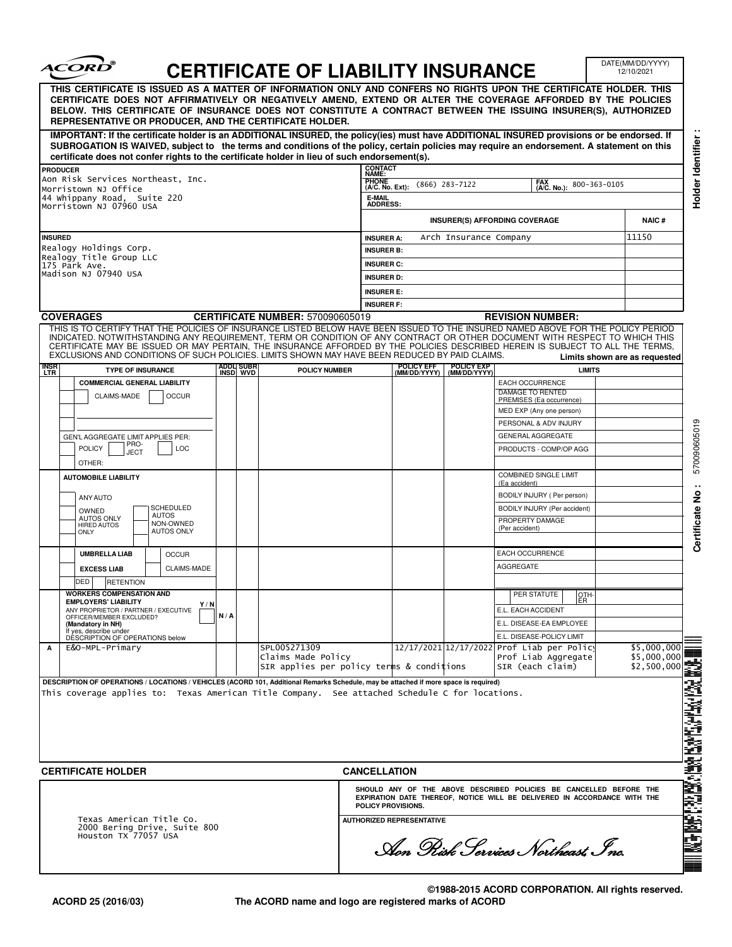|                                            | <i><b>ACORD</b></i>                                                                                                                                                                                                                                                                                                                                                                                              |     |                          | <b>CERTIFICATE OF LIABILITY INSURANCE</b> |                                             |                            |                                                                                                                                                | DATE(MM/DD/YYYY)<br>12/10/2021 |
|--------------------------------------------|------------------------------------------------------------------------------------------------------------------------------------------------------------------------------------------------------------------------------------------------------------------------------------------------------------------------------------------------------------------------------------------------------------------|-----|--------------------------|-------------------------------------------|---------------------------------------------|----------------------------|------------------------------------------------------------------------------------------------------------------------------------------------|--------------------------------|
|                                            | THIS CERTIFICATE IS ISSUED AS A MATTER OF INFORMATION ONLY AND CONFERS NO RIGHTS UPON THE CERTIFICATE HOLDER. THIS<br>CERTIFICATE DOES NOT AFFIRMATIVELY OR NEGATIVELY AMEND, EXTEND OR ALTER THE COVERAGE AFFORDED BY THE POLICIES<br>BELOW. THIS CERTIFICATE OF INSURANCE DOES NOT CONSTITUTE A CONTRACT BETWEEN THE ISSUING INSURER(S), AUTHORIZED<br>REPRESENTATIVE OR PRODUCER, AND THE CERTIFICATE HOLDER. |     |                          |                                           |                                             |                            |                                                                                                                                                |                                |
|                                            | IMPORTANT: If the certificate holder is an ADDITIONAL INSURED, the policy(ies) must have ADDITIONAL INSURED provisions or be endorsed. If<br>SUBROGATION IS WAIVED, subject to the terms and conditions of the policy, certain policies may require an endorsement. A statement on this<br>certificate does not confer rights to the certificate holder in lieu of such endorsement(s).                          |     |                          |                                           |                                             |                            |                                                                                                                                                |                                |
| <b>PRODUCER</b>                            |                                                                                                                                                                                                                                                                                                                                                                                                                  |     |                          |                                           | <b>CONTACT</b><br>NAME:                     |                            |                                                                                                                                                |                                |
|                                            | Aon Risk Services Northeast, Inc.                                                                                                                                                                                                                                                                                                                                                                                |     |                          |                                           | <b>PHONE</b><br>$(866)$ 283-7122            | 800-363-0105               |                                                                                                                                                |                                |
|                                            | Morristown NJ Office<br>44 Whippany Road, Suite 220                                                                                                                                                                                                                                                                                                                                                              |     |                          |                                           | (A/C. No. Ext):<br><b>E-MAIL</b>            |                            |                                                                                                                                                |                                |
|                                            | Morristown NJ 07960 USA                                                                                                                                                                                                                                                                                                                                                                                          |     |                          |                                           | <b>ADDRESS:</b>                             |                            |                                                                                                                                                |                                |
|                                            |                                                                                                                                                                                                                                                                                                                                                                                                                  |     |                          |                                           | <b>INSURER(S) AFFORDING COVERAGE</b>        | <b>NAIC#</b>               |                                                                                                                                                |                                |
| <b>INSURED</b>                             |                                                                                                                                                                                                                                                                                                                                                                                                                  |     |                          |                                           | Arch Insurance Company<br><b>INSURER A:</b> | 11150                      |                                                                                                                                                |                                |
|                                            | Realogy Holdings Corp.<br>Realogy Title Group LLC                                                                                                                                                                                                                                                                                                                                                                |     |                          |                                           | <b>INSURER B:</b>                           |                            |                                                                                                                                                |                                |
| 175 Park Ave.<br>Madison NJ 07940 USA      |                                                                                                                                                                                                                                                                                                                                                                                                                  |     |                          |                                           | <b>INSURER C:</b>                           |                            |                                                                                                                                                |                                |
|                                            |                                                                                                                                                                                                                                                                                                                                                                                                                  |     |                          |                                           | <b>INSURER D:</b>                           |                            |                                                                                                                                                |                                |
|                                            |                                                                                                                                                                                                                                                                                                                                                                                                                  |     |                          |                                           | <b>INSURER E:</b>                           |                            |                                                                                                                                                |                                |
|                                            | <b>COVERAGES</b>                                                                                                                                                                                                                                                                                                                                                                                                 |     |                          | <b>CERTIFICATE NUMBER: 570090605019</b>   | <b>INSURER F:</b>                           |                            | <b>REVISION NUMBER:</b>                                                                                                                        |                                |
|                                            | THIS IS TO CERTIFY THAT THE POLICIES OF INSURANCE LISTED BELOW HAVE BEEN ISSUED TO THE INSURED NAMED ABOVE FOR THE POLICY PERIOD                                                                                                                                                                                                                                                                                 |     |                          |                                           |                                             |                            |                                                                                                                                                |                                |
|                                            | INDICATED. NOTWITHSTANDING ANY REQUIREMENT, TERM OR CONDITION OF ANY CONTRACT OR OTHER DOCUMENT WITH RESPECT TO WHICH THIS<br>CERTIFICATE MAY BE ISSUED OR MAY PERTAIN, THE INSURANCE AFFORDED BY THE POLICIES DESCRIBED HEREIN IS SUBJECT TO ALL THE TERMS.                                                                                                                                                     |     |                          |                                           |                                             |                            |                                                                                                                                                |                                |
|                                            | EXCLUSIONS AND CONDITIONS OF SUCH POLICIES. LIMITS SHOWN MAY HAVE BEEN REDUCED BY PAID CLAIMS.                                                                                                                                                                                                                                                                                                                   |     |                          |                                           |                                             |                            |                                                                                                                                                | Limits shown are as requested  |
| insr<br>Ltr                                | <b>TYPE OF INSURANCE</b>                                                                                                                                                                                                                                                                                                                                                                                         |     | ADDLI SUBR<br>INSD   WVD | <b>POLICY NUMBER</b>                      | POLICY EFF<br>(MM/DD/YYYY)                  | POLICY EXP<br>(MM/DD/YYYY) | <b>LIMITS</b>                                                                                                                                  |                                |
|                                            | <b>COMMERCIAL GENERAL LIABILITY</b>                                                                                                                                                                                                                                                                                                                                                                              |     |                          |                                           |                                             |                            | EACH OCCURRENCE                                                                                                                                |                                |
|                                            | <b>OCCUR</b><br>CLAIMS-MADE                                                                                                                                                                                                                                                                                                                                                                                      |     |                          |                                           |                                             |                            | DAMAGE TO RENTED<br>PREMISES (Ea occurrence)                                                                                                   |                                |
|                                            |                                                                                                                                                                                                                                                                                                                                                                                                                  |     |                          |                                           |                                             |                            | MED EXP (Any one person)                                                                                                                       |                                |
|                                            |                                                                                                                                                                                                                                                                                                                                                                                                                  |     |                          |                                           |                                             |                            | PERSONAL & ADV INJURY                                                                                                                          |                                |
| GEN'L AGGREGATE LIMIT APPLIES PER:<br>PRO- |                                                                                                                                                                                                                                                                                                                                                                                                                  |     |                          |                                           |                                             |                            | GENERAL AGGREGATE                                                                                                                              |                                |
| <b>POLICY</b><br>LOC<br>JECT               |                                                                                                                                                                                                                                                                                                                                                                                                                  |     |                          |                                           |                                             |                            | PRODUCTS - COMP/OP AGG                                                                                                                         |                                |
|                                            | OTHER:                                                                                                                                                                                                                                                                                                                                                                                                           |     |                          |                                           |                                             |                            | COMBINED SINGLE LIMIT                                                                                                                          |                                |
|                                            | <b>AUTOMOBILE LIABILITY</b>                                                                                                                                                                                                                                                                                                                                                                                      |     |                          |                                           |                                             |                            | (Ea accident)                                                                                                                                  |                                |
|                                            | ANY AUTO                                                                                                                                                                                                                                                                                                                                                                                                         |     |                          |                                           |                                             |                            | BODILY INJURY ( Per person)                                                                                                                    |                                |
|                                            |                                                                                                                                                                                                                                                                                                                                                                                                                  |     |                          |                                           |                                             |                            | BODILY INJURY (Per accident)<br>PROPERTY DAMAGE                                                                                                |                                |
|                                            | <b>SCHEDULED</b><br>OWNED<br><b>AUTOS</b>                                                                                                                                                                                                                                                                                                                                                                        |     |                          |                                           |                                             |                            | (Per accident)                                                                                                                                 |                                |
|                                            | <b>AUTOS ONLY</b><br>NON-OWNED<br><b>HIRED AUTOS</b><br><b>AUTOS ONLY</b><br><b>ONLY</b>                                                                                                                                                                                                                                                                                                                         |     |                          |                                           |                                             |                            |                                                                                                                                                |                                |
|                                            |                                                                                                                                                                                                                                                                                                                                                                                                                  |     |                          |                                           |                                             |                            |                                                                                                                                                |                                |
|                                            | <b>UMBRELLA LIAB</b><br><b>OCCUR</b>                                                                                                                                                                                                                                                                                                                                                                             |     |                          |                                           |                                             |                            | EACH OCCURRENCE                                                                                                                                |                                |
|                                            | <b>EXCESS LIAB</b><br>CLAIMS-MADE                                                                                                                                                                                                                                                                                                                                                                                |     |                          |                                           |                                             |                            | <b>AGGREGATE</b>                                                                                                                               |                                |
|                                            | DED<br><b>RETENTION</b>                                                                                                                                                                                                                                                                                                                                                                                          |     |                          |                                           |                                             |                            |                                                                                                                                                |                                |
|                                            | <b>WORKERS COMPENSATION AND</b><br><b>EMPLOYERS' LIABILITY</b><br>Y/N                                                                                                                                                                                                                                                                                                                                            |     |                          |                                           |                                             |                            | PER STATUTE<br>OTH-<br>ER.                                                                                                                     |                                |
|                                            | ANY PROPRIETOR / PARTNER / EXECUTIVE<br>OFFICER/MEMBER EXCLUDED?                                                                                                                                                                                                                                                                                                                                                 | N/A |                          |                                           |                                             |                            | E.L. EACH ACCIDENT                                                                                                                             |                                |
|                                            | (Mandatory in NH)                                                                                                                                                                                                                                                                                                                                                                                                |     |                          |                                           |                                             |                            | E.L. DISEASE-EA EMPLOYEE<br>E.L. DISEASE-POLICY LIMIT                                                                                          |                                |
|                                            | If yes, describe under<br>DESCRIPTION OF OPERATIONS below<br>E&O-MPL-Primary                                                                                                                                                                                                                                                                                                                                     |     |                          | SPL005271309                              |                                             |                            | 12/17/2021 12/17/2022 Prof Liab per Policy                                                                                                     | \$5,000,000                    |
|                                            |                                                                                                                                                                                                                                                                                                                                                                                                                  |     |                          | Claims Made Policy                        |                                             |                            | Prof Liab Aggregate                                                                                                                            | \$5,000,000                    |
|                                            |                                                                                                                                                                                                                                                                                                                                                                                                                  |     |                          | SIR applies per policy terms & conditions |                                             |                            | SIR (each claim)                                                                                                                               |                                |
|                                            | DESCRIPTION OF OPERATIONS / LOCATIONS / VEHICLES (ACORD 101, Additional Remarks Schedule, may be attached if more space is required)<br>This coverage applies to: Texas American Title Company. See attached Schedule C for locations.                                                                                                                                                                           |     |                          |                                           |                                             |                            |                                                                                                                                                |                                |
|                                            |                                                                                                                                                                                                                                                                                                                                                                                                                  |     |                          |                                           |                                             |                            |                                                                                                                                                |                                |
|                                            |                                                                                                                                                                                                                                                                                                                                                                                                                  |     |                          |                                           |                                             |                            |                                                                                                                                                |                                |
|                                            |                                                                                                                                                                                                                                                                                                                                                                                                                  |     |                          |                                           |                                             |                            |                                                                                                                                                |                                |
|                                            |                                                                                                                                                                                                                                                                                                                                                                                                                  |     |                          |                                           |                                             |                            |                                                                                                                                                |                                |
|                                            |                                                                                                                                                                                                                                                                                                                                                                                                                  |     |                          |                                           |                                             |                            |                                                                                                                                                |                                |
|                                            | <b>CERTIFICATE HOLDER</b>                                                                                                                                                                                                                                                                                                                                                                                        |     |                          |                                           | <b>CANCELLATION</b>                         |                            |                                                                                                                                                |                                |
|                                            |                                                                                                                                                                                                                                                                                                                                                                                                                  |     |                          |                                           | POLICY PROVISIONS.                          |                            | SHOULD ANY OF THE ABOVE DESCRIBED POLICIES BE CANCELLED BEFORE THE<br>EXPIRATION DATE THEREOF, NOTICE WILL BE DELIVERED IN ACCORDANCE WITH THE |                                |
|                                            | Texas American Title Co.                                                                                                                                                                                                                                                                                                                                                                                         |     |                          |                                           | <b>AUTHORIZED REPRESENTATIVE</b>            |                            |                                                                                                                                                |                                |
| A                                          | 2000 Bering Drive, Suite 800                                                                                                                                                                                                                                                                                                                                                                                     |     |                          |                                           |                                             |                            |                                                                                                                                                |                                |
|                                            | Houston TX 77057 USA                                                                                                                                                                                                                                                                                                                                                                                             |     |                          |                                           |                                             |                            | Aon Pisk Services Northeast Inc.                                                                                                               |                                |

٦

 $\sim$   $\sim$   $\sim$   $\sim$ 

**©1988-2015 ACORD CORPORATION. All rights reserved. The ACORD name and logo are registered marks of ACORD**